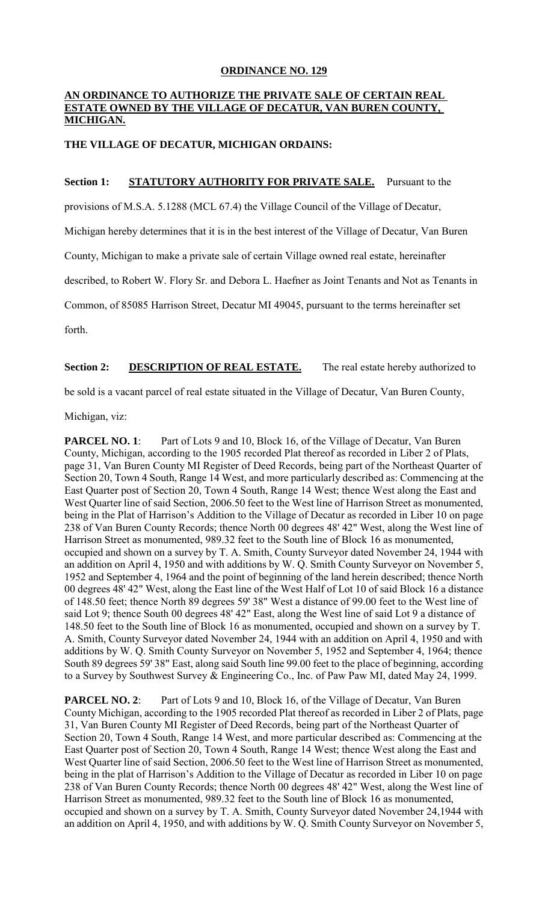## **ORDINANCE NO. 129**

### **AN ORDINANCE TO AUTHORIZE THE PRIVATE SALE OF CERTAIN REAL ESTATE OWNED BY THE VILLAGE OF DECATUR, VAN BUREN COUNTY, MICHIGAN.**

## **THE VILLAGE OF DECATUR, MICHIGAN ORDAINS:**

## **Section 1: STATUTORY AUTHORITY FOR PRIVATE SALE.** Pursuant to the

provisions of M.S.A. 5.1288 (MCL 67.4) the Village Council of the Village of Decatur,

Michigan hereby determines that it is in the best interest of the Village of Decatur, Van Buren

County, Michigan to make a private sale of certain Village owned real estate, hereinafter

described, to Robert W. Flory Sr. and Debora L. Haefner as Joint Tenants and Not as Tenants in

Common, of 85085 Harrison Street, Decatur MI 49045, pursuant to the terms hereinafter set

forth.

# **Section 2:** DESCRIPTION OF REAL ESTATE. The real estate hereby authorized to

be sold is a vacant parcel of real estate situated in the Village of Decatur, Van Buren County,

Michigan, viz:

**PARCEL NO. 1:** Part of Lots 9 and 10, Block 16, of the Village of Decatur, Van Buren County, Michigan, according to the 1905 recorded Plat thereof as recorded in Liber 2 of Plats, page 31, Van Buren County MI Register of Deed Records, being part of the Northeast Quarter of Section 20, Town 4 South, Range 14 West, and more particularly described as: Commencing at the East Quarter post of Section 20, Town 4 South, Range 14 West; thence West along the East and West Quarter line of said Section, 2006.50 feet to the West line of Harrison Street as monumented, being in the Plat of Harrison's Addition to the Village of Decatur as recorded in Liber 10 on page 238 of Van Buren County Records; thence North 00 degrees 48' 42" West, along the West line of Harrison Street as monumented, 989.32 feet to the South line of Block 16 as monumented, occupied and shown on a survey by T. A. Smith, County Surveyor dated November 24, 1944 with an addition on April 4, 1950 and with additions by W. Q. Smith County Surveyor on November 5, 1952 and September 4, 1964 and the point of beginning of the land herein described; thence North 00 degrees 48' 42" West, along the East line of the West Half of Lot 10 of said Block 16 a distance of 148.50 feet; thence North 89 degrees 59' 38" West a distance of 99.00 feet to the West line of said Lot 9; thence South 00 degrees 48' 42" East, along the West line of said Lot 9 a distance of 148.50 feet to the South line of Block 16 as monumented, occupied and shown on a survey by T. A. Smith, County Surveyor dated November 24, 1944 with an addition on April 4, 1950 and with additions by W. Q. Smith County Surveyor on November 5, 1952 and September 4, 1964; thence South 89 degrees 59' 38" East, along said South line 99.00 feet to the place of beginning, according to a Survey by Southwest Survey & Engineering Co., Inc. of Paw Paw MI, dated May 24, 1999.

**PARCEL NO. 2**: Part of Lots 9 and 10, Block 16, of the Village of Decatur, Van Buren County Michigan, according to the 1905 recorded Plat thereof as recorded in Liber 2 of Plats, page 31, Van Buren County MI Register of Deed Records, being part of the Northeast Quarter of Section 20, Town 4 South, Range 14 West, and more particular described as: Commencing at the East Quarter post of Section 20, Town 4 South, Range 14 West; thence West along the East and West Quarter line of said Section, 2006.50 feet to the West line of Harrison Street as monumented, being in the plat of Harrison's Addition to the Village of Decatur as recorded in Liber 10 on page 238 of Van Buren County Records; thence North 00 degrees 48' 42" West, along the West line of Harrison Street as monumented, 989.32 feet to the South line of Block 16 as monumented, occupied and shown on a survey by T. A. Smith, County Surveyor dated November 24,1944 with an addition on April 4, 1950, and with additions by W. Q. Smith County Surveyor on November 5,